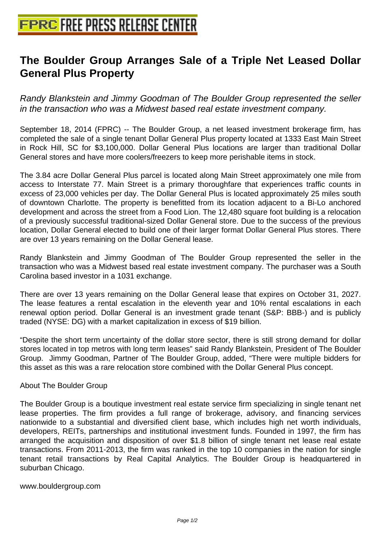## **[The Boulder Group Arranges Sale](http://www.free-press-release-center.info) of a Triple Net Leased Dollar General Plus Property**

Randy Blankstein and Jimmy Goodman of The Boulder Group represented the seller in the transaction who was a Midwest based real estate investment company.

September 18, 2014 (FPRC) -- The Boulder Group, a net leased investment brokerage firm, has completed the sale of a single tenant Dollar General Plus property located at 1333 East Main Street in Rock Hill, SC for \$3,100,000. Dollar General Plus locations are larger than traditional Dollar General stores and have more coolers/freezers to keep more perishable items in stock.

The 3.84 acre Dollar General Plus parcel is located along Main Street approximately one mile from access to Interstate 77. Main Street is a primary thoroughfare that experiences traffic counts in excess of 23,000 vehicles per day. The Dollar General Plus is located approximately 25 miles south of downtown Charlotte. The property is benefitted from its location adjacent to a Bi-Lo anchored development and across the street from a Food Lion. The 12,480 square foot building is a relocation of a previously successful traditional-sized Dollar General store. Due to the success of the previous location, Dollar General elected to build one of their larger format Dollar General Plus stores. There are over 13 years remaining on the Dollar General lease.

Randy Blankstein and Jimmy Goodman of The Boulder Group represented the seller in the transaction who was a Midwest based real estate investment company. The purchaser was a South Carolina based investor in a 1031 exchange.

There are over 13 years remaining on the Dollar General lease that expires on October 31, 2027. The lease features a rental escalation in the eleventh year and 10% rental escalations in each renewal option period. Dollar General is an investment grade tenant (S&P: BBB-) and is publicly traded (NYSE: DG) with a market capitalization in excess of \$19 billion.

"Despite the short term uncertainty of the dollar store sector, there is still strong demand for dollar stores located in top metros with long term leases" said Randy Blankstein, President of The Boulder Group. Jimmy Goodman, Partner of The Boulder Group, added, "There were multiple bidders for this asset as this was a rare relocation store combined with the Dollar General Plus concept.

## About The Boulder Group

The Boulder Group is a boutique investment real estate service firm specializing in single tenant net lease properties. The firm provides a full range of brokerage, advisory, and financing services nationwide to a substantial and diversified client base, which includes high net worth individuals, developers, REITs, partnerships and institutional investment funds. Founded in 1997, the firm has arranged the acquisition and disposition of over \$1.8 billion of single tenant net lease real estate transactions. From 2011-2013, the firm was ranked in the top 10 companies in the nation for single tenant retail transactions by Real Capital Analytics. The Boulder Group is headquartered in suburban Chicago.

www.bouldergroup.com